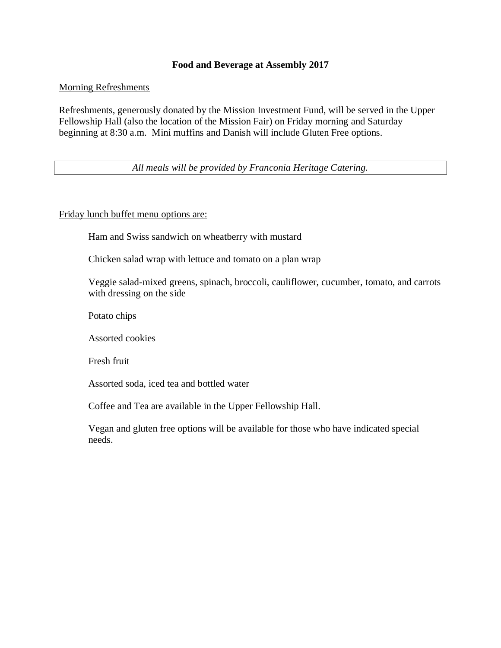## **Food and Beverage at Assembly 2017**

Morning Refreshments

Refreshments, generously donated by the Mission Investment Fund, will be served in the Upper Fellowship Hall (also the location of the Mission Fair) on Friday morning and Saturday beginning at 8:30 a.m. Mini muffins and Danish will include Gluten Free options.

*All meals will be provided by Franconia Heritage Catering.*

Friday lunch buffet menu options are:

Ham and Swiss sandwich on wheatberry with mustard

Chicken salad wrap with lettuce and tomato on a plan wrap

Veggie salad-mixed greens, spinach, broccoli, cauliflower, cucumber, tomato, and carrots with dressing on the side

Potato chips

Assorted cookies

Fresh fruit

Assorted soda, iced tea and bottled water

Coffee and Tea are available in the Upper Fellowship Hall.

Vegan and gluten free options will be available for those who have indicated special needs.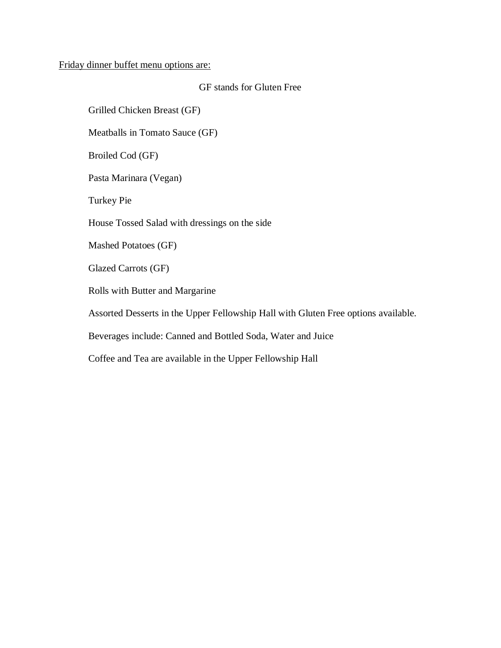## Friday dinner buffet menu options are:

## GF stands for Gluten Free

Grilled Chicken Breast (GF)

Meatballs in Tomato Sauce (GF)

Broiled Cod (GF)

Pasta Marinara (Vegan)

Turkey Pie

House Tossed Salad with dressings on the side

Mashed Potatoes (GF)

Glazed Carrots (GF)

Rolls with Butter and Margarine

Assorted Desserts in the Upper Fellowship Hall with Gluten Free options available.

Beverages include: Canned and Bottled Soda, Water and Juice

Coffee and Tea are available in the Upper Fellowship Hall